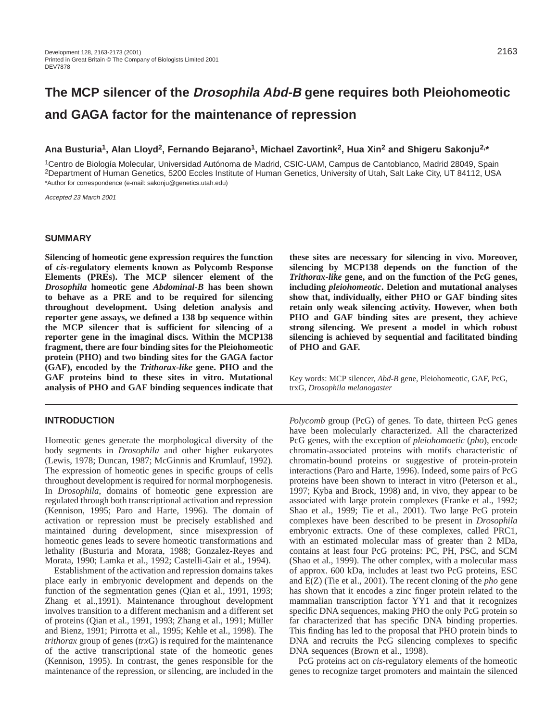# **The MCP silencer of the Drosophila Abd-B gene requires both Pleiohomeotic and GAGA factor for the maintenance of repression**

## **Ana Busturia1, Alan Lloyd2, Fernando Bejarano1, Michael Zavortink2, Hua Xin2 and Shigeru Sakonju2,\***

1Centro de Biología Molecular, Universidad Autónoma de Madrid, CSIC-UAM, Campus de Cantoblanco, Madrid 28049, Spain 2Department of Human Genetics, 5200 Eccles Institute of Human Genetics, University of Utah, Salt Lake City, UT 84112, USA \*Author for correspondence (e-mail: sakonju@genetics.utah.edu)

Accepted 23 March 2001

#### **SUMMARY**

**Silencing of homeotic gene expression requires the function of** *cis***-regulatory elements known as Polycomb Response Elements (PREs). The MCP silencer element of the** *Drosophila* **homeotic gene** *Abdominal-B* **has been shown to behave as a PRE and to be required for silencing throughout development. Using deletion analysis and reporter gene assays, we defined a 138 bp sequence within the MCP silencer that is sufficient for silencing of a reporter gene in the imaginal discs. Within the MCP138 fragment, there are four binding sites for the Pleiohomeotic protein (PHO) and two binding sites for the GAGA factor (GAF), encoded by the** *Trithorax-like* **gene. PHO and the GAF proteins bind to these sites in vitro. Mutational analysis of PHO and GAF binding sequences indicate that**

## **INTRODUCTION**

Homeotic genes generate the morphological diversity of the body segments in *Drosophila* and other higher eukaryotes (Lewis, 1978; Duncan, 1987; McGinnis and Krumlauf, 1992). The expression of homeotic genes in specific groups of cells throughout development is required for normal morphogenesis. In *Drosophila*, domains of homeotic gene expression are regulated through both transcriptional activation and repression (Kennison, 1995; Paro and Harte, 1996). The domain of activation or repression must be precisely established and maintained during development, since misexpression of homeotic genes leads to severe homeotic transformations and lethality (Busturia and Morata, 1988; Gonzalez-Reyes and Morata, 1990; Lamka et al., 1992; Castelli-Gair et al., 1994).

Establishment of the activation and repression domains takes place early in embryonic development and depends on the function of the segmentation genes (Qian et al., 1991, 1993; Zhang et al.,1991). Maintenance throughout development involves transition to a different mechanism and a different set of proteins (Qian et al., 1991, 1993; Zhang et al., 1991; Müller and Bienz, 1991; Pirrotta et al., 1995; Kehle et al., 1998). The *trithorax* group of genes (*trx*G) is required for the maintenance of the active transcriptional state of the homeotic genes (Kennison, 1995). In contrast, the genes responsible for the maintenance of the repression, or silencing, are included in the **these sites are necessary for silencing in vivo. Moreover, silencing by MCP138 depends on the function of the** *Trithorax-like* **gene, and on the function of the PcG genes, including** *pleiohomeotic***. Deletion and mutational analyses show that, individually, either PHO or GAF binding sites retain only weak silencing activity. However, when both PHO and GAF binding sites are present, they achieve strong silencing. We present a model in which robust silencing is achieved by sequential and facilitated binding of PHO and GAF.**

Key words: MCP silencer, *Abd-B* gene, Pleiohomeotic, GAF, PcG, trxG, *Drosophila melanogaster*

*Polycomb* group (PcG) of genes. To date, thirteen PcG genes have been molecularly characterized. All the characterized PcG genes, with the exception of *pleiohomoetic* (*pho*), encode chromatin-associated proteins with motifs characteristic of chromatin-bound proteins or suggestive of protein-protein interactions (Paro and Harte, 1996). Indeed, some pairs of PcG proteins have been shown to interact in vitro (Peterson et al., 1997; Kyba and Brock, 1998) and, in vivo, they appear to be associated with large protein complexes (Franke et al., 1992; Shao et al., 1999; Tie et al., 2001). Two large PcG protein complexes have been described to be present in *Drosophila* embryonic extracts. One of these complexes, called PRC1, with an estimated molecular mass of greater than 2 MDa, contains at least four PcG proteins: PC, PH, PSC, and SCM (Shao et al., 1999). The other complex, with a molecular mass of approx. 600 kDa, includes at least two PcG proteins, ESC and E(Z) (Tie et al., 2001). The recent cloning of the *pho* gene has shown that it encodes a zinc finger protein related to the mammalian transcription factor YY1 and that it recognizes specific DNA sequences, making PHO the only PcG protein so far characterized that has specific DNA binding properties. This finding has led to the proposal that PHO protein binds to DNA and recruits the PcG silencing complexes to specific DNA sequences (Brown et al., 1998).

PcG proteins act on *cis*-regulatory elements of the homeotic genes to recognize target promoters and maintain the silenced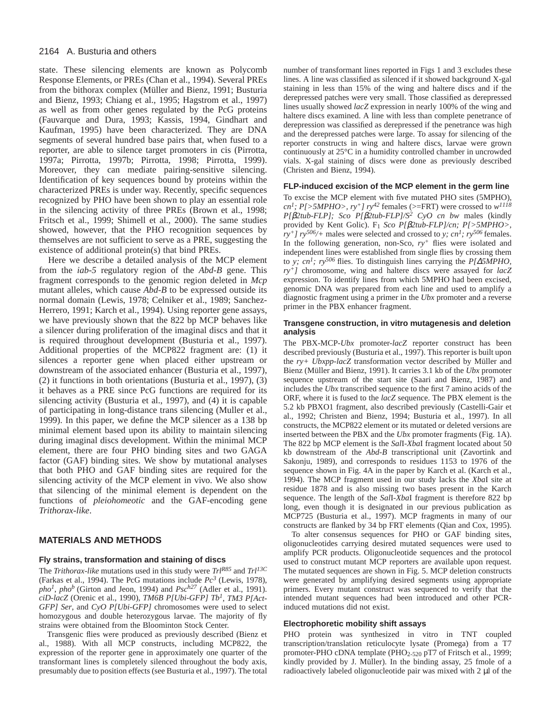state. These silencing elements are known as Polycomb Response Elements, or PREs (Chan et al., 1994). Several PREs from the bithorax complex (Müller and Bienz, 1991; Busturia and Bienz, 1993; Chiang et al., 1995; Hagstrom et al., 1997) as well as from other genes regulated by the PcG proteins (Fauvarque and Dura, 1993; Kassis, 1994, Gindhart and Kaufman, 1995) have been characterized. They are DNA segments of several hundred base pairs that, when fused to a reporter, are able to silence target promoters in cis (Pirrotta, 1997a; Pirrotta, 1997b; Pirrotta, 1998; Pirrotta, 1999). Moreover, they can mediate pairing-sensitive silencing. Identification of key sequences bound by proteins within the characterized PREs is under way. Recently, specific sequences recognized by PHO have been shown to play an essential role in the silencing activity of three PREs (Brown et al., 1998; Fritsch et al., 1999; Shimell et al., 2000). The same studies showed, however, that the PHO recognition sequences by themselves are not sufficient to serve as a PRE, suggesting the existence of additional protein(s) that bind PREs.

Here we describe a detailed analysis of the MCP element from the *iab-5* regulatory region of the *Abd-B* gene. This fragment corresponds to the genomic region deleted in *Mcp* mutant alleles, which cause *Abd-B* to be expressed outside its normal domain (Lewis, 1978; Celniker et al., 1989; Sanchez-Herrero, 1991; Karch et al., 1994). Using reporter gene assays, we have previously shown that the 822 bp MCP behaves like a silencer during proliferation of the imaginal discs and that it is required throughout development (Busturia et al., 1997). Additional properties of the MCP822 fragment are: (1) it silences a reporter gene when placed either upstream or downstream of the associated enhancer (Busturia et al., 1997), (2) it functions in both orientations (Busturia et al., 1997), (3) it behaves as a PRE since PcG functions are required for its silencing activity (Busturia et al., 1997), and (4) it is capable of participating in long-distance trans silencing (Muller et al., 1999). In this paper, we define the MCP silencer as a 138 bp minimal element based upon its ability to maintain silencing during imaginal discs development. Within the minimal MCP element, there are four PHO binding sites and two GAGA factor (GAF) binding sites. We show by mutational analyses that both PHO and GAF binding sites are required for the silencing activity of the MCP element in vivo. We also show that silencing of the minimal element is dependent on the functions of *pleiohomeotic* and the GAF-encoding gene *Trithorax-like*.

#### **MATERIALS AND METHODS**

#### **Fly strains, transformation and staining of discs**

The *Trithorax-like* mutations used in this study were *TrlR85* and *Trl13C* (Farkas et al., 1994). The PcG mutations include *Pc3* (Lewis, 1978),  $pho<sup>1</sup>$ ,  $pho<sup>b</sup>$  (Girton and Jeon, 1994) and *Psc<sup>h27</sup>* (Adler et al., 1991). *ciD-lacZ* (Orenic et al., 1990), *TM6B P[Ubi-GFP] Tb1*, *TM3 P[Act-GFP] Ser*, and *CyO P[Ubi-GFP]* chromosomes were used to select homozygous and double heterozygous larvae. The majority of fly strains were obtained from the Bloominton Stock Center.

Transgenic flies were produced as previously described (Bienz et al., 1988). With all MCP constructs, including MCP822, the expression of the reporter gene in approximately one quarter of the transformant lines is completely silenced throughout the body axis, presumably due to position effects (see Busturia et al., 1997). The total

number of transformant lines reported in Figs 1 and 3 excludes these lines. A line was classified as silenced if it showed background X-gal staining in less than 15% of the wing and haltere discs and if the derepressed patches were very small. Those classified as derepressed lines usually showed *lacZ* expression in nearly 100% of the wing and haltere discs examined. A line with less than complete penetrance of derepression was classified as derepressed if the penetrance was high and the derepressed patches were large. To assay for silencing of the reporter constructs in wing and haltere discs, larvae were grown continuously at 25°C in a humidity controlled chamber in uncrowded vials. X-gal staining of discs were done as previously described (Christen and Bienz, 1994).

#### **FLP-induced excision of the MCP element in the germ line**

To excise the MCP element with five mutated PHO sites (5MPHO), *cn1; P[>5MPHO>, ry+] ry42* females (>=FRT) were crossed to *w<sup>1118</sup> P[*β*2tub-FLP]; Sco P[*β*2tub-FLP]/S2 CyO cn bw* males (kindly provided by Kent Golic). F1 *Sco P[*β*2tub-FLP]/cn; P[>5MPHO>,*  $r_y + J r_y^{506/}$ + males were selected and crossed to *y*;  $cn^1$ ;  $ry^{506}$  females. In the following generation, non-Sco,  $ry^+$  flies were isolated and independent lines were established from single flies by crossing them to *y; cn1; ry506* flies. To distinguish lines carrying the *P[*∆*5MPHO, ry+]* chromosome, wing and haltere discs were assayed for *lacZ* expression. To identify lines from which 5MPHO had been excised, genomic DNA was prepared from each line and used to amplify a diagnostic fragment using a primer in the *Ubx* promoter and a reverse primer in the PBX enhancer fragment.

### **Transgene construction, in vitro mutagenesis and deletion analysis**

The PBX-MCP-*Ubx* promoter-*lacZ* reporter construct has been described previously (Busturia et al., 1997). This reporter is built upon the *ry+ Ubxpp-lacZ* transformation vector described by Müller and Bienz (Müller and Bienz, 1991). It carries 3.1 kb of the *Ubx* promoter sequence upstream of the start site (Saari and Bienz, 1987) and includes the *Ubx* transcribed sequence to the first 7 amino acids of the ORF, where it is fused to the *lacZ* sequence. The PBX element is the 5.2 kb PBXO1 fragment, also described previously (Castelli-Gair et al., 1992; Christen and Bienz, 1994; Busturia et al., 1997). In all constructs, the MCP822 element or its mutated or deleted versions are inserted between the PBX and the *Ubx* promoter fragments (Fig. 1A). The 822 bp MCP element is the *Sal*I-*Xba*I fragment located about 50 kb downstream of the *Abd-B* transcriptional unit (Zavortink and Sakonju, 1989), and corresponds to residues 1153 to 1976 of the sequence shown in Fig. 4A in the paper by Karch et al. (Karch et al., 1994). The MCP fragment used in our study lacks the *Xba*I site at residue 1878 and is also missing two bases present in the Karch sequence. The length of the *Sal*I-*Xba*I fragment is therefore 822 bp long, even though it is designated in our previous publication as MCP725 (Busturia et al., 1997). MCP fragments in many of our constructs are flanked by 34 bp FRT elements (Qian and Cox, 1995).

To alter consensus sequences for PHO or GAF binding sites, oligonucleotides carrying desired mutated sequences were used to amplify PCR products. Oligonucleotide sequences and the protocol used to construct mutant MCP reporters are available upon request. The mutated sequences are shown in Fig. 5. MCP deletion constructs were generated by amplifying desired segments using appropriate primers. Every mutant construct was sequenced to verify that the intended mutant sequences had been introduced and other PCRinduced mutations did not exist.

#### **Electrophoretic mobility shift assays**

PHO protein was synthesized in vitro in TNT coupled transcription/translation reticulocyte lysate (Promega) from a T7 promoter-PHO cDNA template (PHO2-520 pT7 of Fritsch et al., 1999; kindly provided by J. Müller). In the binding assay, 25 fmole of a radioactively labeled oligonucleotide pair was mixed with 2 µl of the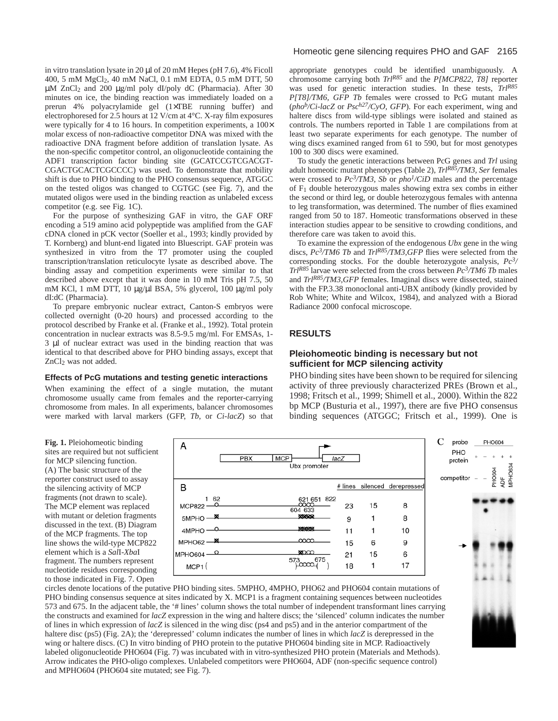in vitro translation lysate in 20 µl of 20 mM Hepes (pH 7.6), 4% Ficoll 400, 5 mM MgCl2, 40 mM NaCl, 0.1 mM EDTA, 0.5 mM DTT, 50 µM ZnCl2 and 200 µg/ml poly dI/poly dC (Pharmacia). After 30 minutes on ice, the binding reaction was immediately loaded on a prerun 4% polyacrylamide gel (1×TBE running buffer) and electrophoresed for 2.5 hours at 12 V/cm at 4°C. X-ray film exposures were typically for 4 to 16 hours. In competition experiments, a  $100 \times$ molar excess of non-radioactive competitor DNA was mixed with the radioactive DNA fragment before addition of translation lysate. As the non-specific competitor control, an oligonucleotide containing the ADF1 transcription factor binding site (GCATCCGTCGACGT-CGACTGCACTCGCCCC) was used. To demonstrate that mobility shift is due to PHO binding to the PHO consensus sequence, ATGGC on the tested oligos was changed to CGTGC (see Fig. 7), and the mutated oligos were used in the binding reaction as unlabeled excess competitor (e.g. see Fig. 1C).

For the purpose of synthesizing GAF in vitro, the GAF ORF encoding a 519 amino acid polypeptide was amplified from the GAF cDNA cloned in pCK vector (Soeller et al., 1993; kindly provided by T. Kornberg) and blunt-end ligated into Bluescript. GAF protein was synthesized in vitro from the T7 promoter using the coupled transcription/translation reticulocyte lysate as described above. The binding assay and competition experiments were similar to that described above except that it was done in 10 mM Tris pH 7.5, 50 mM KCl, 1 mM DTT, 10 µg/µl BSA, 5% glycerol, 100 µg/ml poly dI:dC (Pharmacia).

To prepare embryonic nuclear extract, Canton-S embryos were collected overnight (0-20 hours) and processed according to the protocol described by Franke et al. (Franke et al., 1992). Total protein concentration in nuclear extracts was 8.5-9.5 mg/ml. For EMSAs, 1- 3 µl of nuclear extract was used in the binding reaction that was identical to that described above for PHO binding assays, except that ZnCl2 was not added.

#### **Effects of PcG mutations and testing genetic interactions**

When examining the effect of a single mutation, the mutant chromosome usually came from females and the reporter-carrying chromosome from males. In all experiments, balancer chromosomes were marked with larval markers (GFP, *Tb*, or *Ci-lacZ*) so that

### Homeotic gene silencing requires PHO and GAF 2165

appropriate genotypes could be identified unambiguously. A chromosome carrying both *TrlR85* and the *P[MCP822, T8]* reporter was used for genetic interaction studies. In these tests, *TrlR85 P[T8]/TM6, GFP Tb* females were crossed to PcG mutant males (*phob/Ci-lacZ* or *Psch27/CyO, GFP*). For each experiment, wing and haltere discs from wild-type siblings were isolated and stained as controls. The numbers reported in Table 1 are compilations from at least two separate experiments for each genotype. The number of wing discs examined ranged from 61 to 590, but for most genotypes 100 to 300 discs were examined.

To study the genetic interactions between PcG genes and *Trl* using adult homeotic mutant phenotypes (Table 2), *TrlR85/TM3, Ser* females were crossed to *Pc3/TM3, Sb* or *pho1/CiD* males and the percentage of F1 double heterozygous males showing extra sex combs in either the second or third leg, or double heterozygous females with antenna to leg transformation, was determined. The number of flies examined ranged from 50 to 187. Homeotic transformations observed in these interaction studies appear to be sensitive to crowding conditions, and therefore care was taken to avoid this.

To examine the expression of the endogenous *Ubx* gene in the wing discs, *Pc<sup>3</sup>/TM6 Tb* and *Trl<sup>R85</sup>/TM3,GFP* flies were selected from the corresponding stocks. For the double heterozygote analysis, *Pc3/ TrlR85* larvae were selected from the cross between *Pc3/TM6 Tb* males and *TrlR85/TM3,GFP* females. Imaginal discs were dissected, stained with the FP.3.38 monoclonal anti-UBX antibody (kindly provided by Rob White; White and Wilcox, 1984), and analyzed with a Biorad Radiance 2000 confocal microscope.

## **RESULTS**

### **Pleiohomeotic binding is necessary but not sufficient for MCP silencing activity**

PHO binding sites have been shown to be required for silencing activity of three previously characterized PREs (Brown et al., 1998; Fritsch et al., 1999; Shimell et al., 2000). Within the 822 bp MCP (Busturia et al., 1997), there are five PHO consensus binding sequences (ATGGC; Fritsch et al., 1999). One is

**Fig. 1.** Pleiohomeotic binding sites are required but not sufficient for MCP silencing function. (A) The basic structure of the reporter construct used to assay the silencing activity of MCP fragments (not drawn to scale). The MCP element was replaced with mutant or deletion fragments discussed in the text. (B) Diagram of the MCP fragments. The top line shows the wild-type MCP822 element which is a *Sal*I-*Xba*I fragment. The numbers represent nucleotide residues corresponding to those indicated in Fig. 7. Open



circles denote locations of the putative PHO binding sites. 5MPHO, 4MPHO, PHO62 and PHO604 contain mutations of PHO binding consensus sequence at sites indicated by X. MCP1 is a fragment containing sequences between nucleotides 573 and 675. In the adjacent table, the '# lines' column shows the total number of independent transformant lines carrying the constructs and examined for *lacZ* expression in the wing and haltere discs; the 'silenced' column indicates the number of lines in which expression of *lacZ* is silenced in the wing disc (ps4 and ps5) and in the anterior compartment of the haltere disc (ps5) (Fig. 2A); the 'derepressed' column indicates the number of lines in which *lacZ* is derepressed in the wing or haltere discs. (C) In vitro binding of PHO protein to the putative PHO604 binding site in MCP. Radioactively labeled oligonucleotide PHO604 (Fig. 7) was incubated with in vitro-synthesized PHO protein (Materials and Methods). Arrow indicates the PHO-oligo complexes. Unlabeled competitors were PHO604, ADF (non-specific sequence control) and MPHO604 (PHO604 site mutated; see Fig. 7).

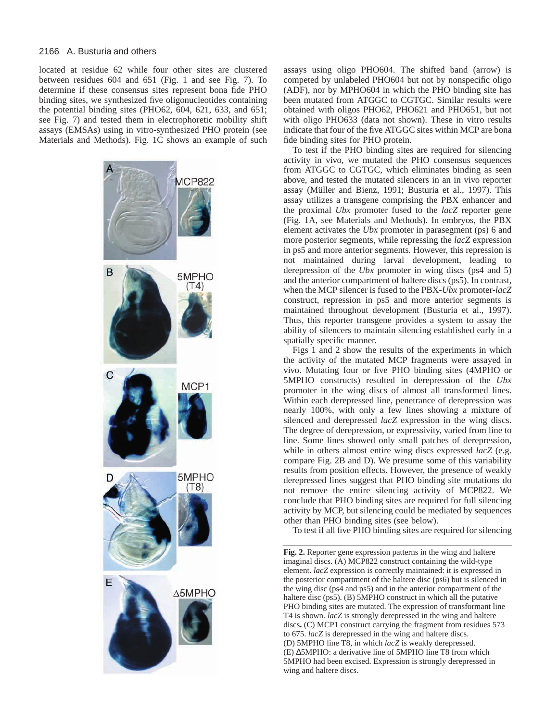located at residue 62 while four other sites are clustered between residues 604 and 651 (Fig. 1 and see Fig. 7). To determine if these consensus sites represent bona fide PHO binding sites, we synthesized five oligonucleotides containing the potential binding sites (PHO62, 604, 621, 633, and 651; see Fig. 7) and tested them in electrophoretic mobility shift assays (EMSAs) using in vitro-synthesized PHO protein (see Materials and Methods). Fig. 1C shows an example of such



assays using oligo PHO604. The shifted band (arrow) is competed by unlabeled PHO604 but not by nonspecific oligo (ADF), nor by MPHO604 in which the PHO binding site has been mutated from ATGGC to CGTGC. Similar results were obtained with oligos PHO62, PHO621 and PHO651, but not with oligo PHO633 (data not shown). These in vitro results indicate that four of the five ATGGC sites within MCP are bona fide binding sites for PHO protein.

To test if the PHO binding sites are required for silencing activity in vivo, we mutated the PHO consensus sequences from ATGGC to CGTGC, which eliminates binding as seen above, and tested the mutated silencers in an in vivo reporter assay (Müller and Bienz, 1991; Busturia et al., 1997). This assay utilizes a transgene comprising the PBX enhancer and the proximal *Ubx* promoter fused to the *lacZ* reporter gene (Fig. 1A, see Materials and Methods). In embryos, the PBX element activates the *Ubx* promoter in parasegment (ps) 6 and more posterior segments, while repressing the *lacZ* expression in ps5 and more anterior segments. However, this repression is not maintained during larval development, leading to derepression of the *Ubx* promoter in wing discs (ps4 and 5) and the anterior compartment of haltere discs (ps5). In contrast, when the MCP silencer is fused to the PBX-*Ubx* promoter-*lacZ* construct, repression in ps5 and more anterior segments is maintained throughout development (Busturia et al., 1997). Thus, this reporter transgene provides a system to assay the ability of silencers to maintain silencing established early in a spatially specific manner.

Figs 1 and 2 show the results of the experiments in which the activity of the mutated MCP fragments were assayed in vivo. Mutating four or five PHO binding sites (4MPHO or 5MPHO constructs) resulted in derepression of the *Ubx* promoter in the wing discs of almost all transformed lines. Within each derepressed line, penetrance of derepression was nearly 100%, with only a few lines showing a mixture of silenced and derepressed *lacZ* expression in the wing discs. The degree of derepression, or expressivity, varied from line to line. Some lines showed only small patches of derepression, while in others almost entire wing discs expressed *lacZ* (e.g. compare Fig. 2B and D). We presume some of this variability results from position effects. However, the presence of weakly derepressed lines suggest that PHO binding site mutations do not remove the entire silencing activity of MCP822. We conclude that PHO binding sites are required for full silencing activity by MCP, but silencing could be mediated by sequences other than PHO binding sites (see below).

To test if all five PHO binding sites are required for silencing

**Fig. 2.** Reporter gene expression patterns in the wing and haltere imaginal discs. (A) MCP822 construct containing the wild-type element. *lacZ* expression is correctly maintained: it is expressed in the posterior compartment of the haltere disc (ps6) but is silenced in the wing disc (ps4 and ps5) and in the anterior compartment of the haltere disc (ps5). (B) 5MPHO construct in which all the putative PHO binding sites are mutated. The expression of transformant line T4 is shown. *lacZ* is strongly derepressed in the wing and haltere discs**.** (C) MCP1 construct carrying the fragment from residues 573 to 675. *lacZ* is derepressed in the wing and haltere discs. (D) 5MPHO line T8, in which *lacZ* is weakly derepressed. (E) ∆5MPHO: a derivative line of 5MPHO line T8 from which 5MPHO had been excised. Expression is strongly derepressed in wing and haltere discs.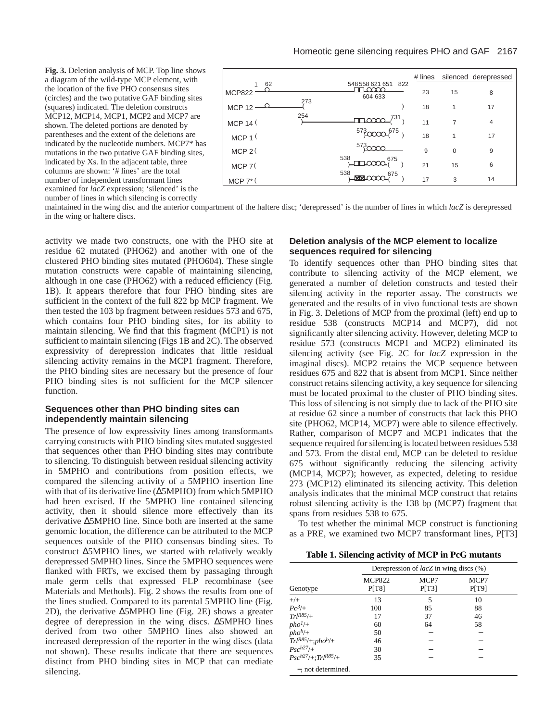**Fig. 3.** Deletion analysis of MCP. Top line shows a diagram of the wild-type MCP element, with the location of the five PHO consensus sites (circles) and the two putative GAF binding sites (squares) indicated. The deletion constructs MCP12, MCP14, MCP1, MCP2 and MCP7 are shown. The deleted portions are denoted by parentheses and the extent of the deletions are indicated by the nucleotide numbers. MCP7\* has mutations in the two putative GAF binding sites, indicated by Xs. In the adjacent table, three columns are shown: '# lines' are the total number of independent transformant lines examined for *lacZ* expression; 'silenced' is the number of lines in which silencing is correctly

|                      |     |                                   | # lines |          | silenced derepressed |
|----------------------|-----|-----------------------------------|---------|----------|----------------------|
| 62<br><b>MCP822</b>  |     | 548 558 621 651<br>822<br>604 633 | 23      | 15       | 8                    |
| <b>MCP 12</b>        | 273 |                                   | 18      |          | 17                   |
| MCP 14 (             | 254 | 731                               | 11      | 7        | $\overline{4}$       |
| MCP 1                |     | 573,<br>$\sim 675$                | 18      |          | 17                   |
| MCP 2(               |     | 573                               | 9       | $\Omega$ | 9                    |
| $MCP$ 7 $($          |     | 538<br>675                        | 21      | 15       | 6                    |
| $MCP 7$ <sup>*</sup> |     | 538<br>675                        | 17      | 3        | 14                   |

maintained in the wing disc and the anterior compartment of the haltere disc; 'derepressed' is the number of lines in which *lacZ* is derepressed in the wing or haltere discs.

activity we made two constructs, one with the PHO site at residue 62 mutated (PHO62) and another with one of the clustered PHO binding sites mutated (PHO604). These single mutation constructs were capable of maintaining silencing, although in one case (PHO62) with a reduced efficiency (Fig. 1B). It appears therefore that four PHO binding sites are sufficient in the context of the full 822 bp MCP fragment. We then tested the 103 bp fragment between residues 573 and 675, which contains four PHO binding sites, for its ability to maintain silencing. We find that this fragment (MCP1) is not sufficient to maintain silencing (Figs 1B and 2C). The observed expressivity of derepression indicates that little residual silencing activity remains in the MCP1 fragment. Therefore, the PHO binding sites are necessary but the presence of four PHO binding sites is not sufficient for the MCP silencer function.

## **Sequences other than PHO binding sites can independently maintain silencing**

The presence of low expressivity lines among transformants carrying constructs with PHO binding sites mutated suggested that sequences other than PHO binding sites may contribute to silencing. To distinguish between residual silencing activity in 5MPHO and contributions from position effects, we compared the silencing activity of a 5MPHO insertion line with that of its derivative line (∆5MPHO) from which 5MPHO had been excised. If the 5MPHO line contained silencing activity, then it should silence more effectively than its derivative ∆5MPHO line. Since both are inserted at the same genomic location, the difference can be attributed to the MCP sequences outside of the PHO consensus binding sites. To construct ∆5MPHO lines, we started with relatively weakly derepressed 5MPHO lines. Since the 5MPHO sequences were flanked with FRTs, we excised them by passaging through male germ cells that expressed FLP recombinase (see Materials and Methods). Fig. 2 shows the results from one of the lines studied. Compared to its parental 5MPHO line (Fig. 2D), the derivative ∆5MPHO line (Fig. 2E) shows a greater degree of derepression in the wing discs. ∆5MPHO lines derived from two other 5MPHO lines also showed an increased derepression of the reporter in the wing discs (data not shown). These results indicate that there are sequences distinct from PHO binding sites in MCP that can mediate silencing.

# **Deletion analysis of the MCP element to localize sequences required for silencing**

To identify sequences other than PHO binding sites that contribute to silencing activity of the MCP element, we generated a number of deletion constructs and tested their silencing activity in the reporter assay. The constructs we generated and the results of in vivo functional tests are shown in Fig. 3. Deletions of MCP from the proximal (left) end up to residue 538 (constructs MCP14 and MCP7), did not significantly alter silencing activity. However, deleting MCP to residue 573 (constructs MCP1 and MCP2) eliminated its silencing activity (see Fig. 2C for *lacZ* expression in the imaginal discs). MCP2 retains the MCP sequence between residues 675 and 822 that is absent from MCP1. Since neither construct retains silencing activity, a key sequence for silencing must be located proximal to the cluster of PHO binding sites. This loss of silencing is not simply due to lack of the PHO site at residue 62 since a number of constructs that lack this PHO site (PHO62, MCP14, MCP7) were able to silence effectively. Rather, comparison of MCP7 and MCP1 indicates that the sequence required for silencing is located between residues 538 and 573. From the distal end, MCP can be deleted to residue 675 without significantly reducing the silencing activity (MCP14, MCP7); however, as expected, deleting to residue 273 (MCP12) eliminated its silencing activity. This deletion analysis indicates that the minimal MCP construct that retains robust silencing activity is the 138 bp (MCP7) fragment that spans from residues 538 to 675.

To test whether the minimal MCP construct is functioning as a PRE, we examined two MCP7 transformant lines, P[T3]

**Table 1. Silencing activity of MCP in PcG mutants**

|                                      | Derepression of $lacZ$ in wing discs $(\%)$ |               |               |  |
|--------------------------------------|---------------------------------------------|---------------|---------------|--|
| Genotype                             | <b>MCP822</b><br>P[T8]                      | MCP7<br>P[T3] | MCP7<br>P[T9] |  |
| $+/+$                                | 13                                          | 5             | 10            |  |
| $Pc^3/+$                             | 100                                         | 85            | 88            |  |
| $Trl^{R85/+}$                        | 17                                          | 37            | 46            |  |
| $pho^{1/+}$                          | 60                                          | 64            | 58            |  |
| $pho^{b/+}$                          | 50                                          |               |               |  |
| $Trl^{R85}/+;pho^{b}/+$              | 46                                          |               |               |  |
| $P_{SC}h27/+$                        | 30                                          |               |               |  |
| $Psc^{h27}/+$ :Trl <sup>R85</sup> /+ | 35                                          |               |               |  |
| -, not determined.                   |                                             |               |               |  |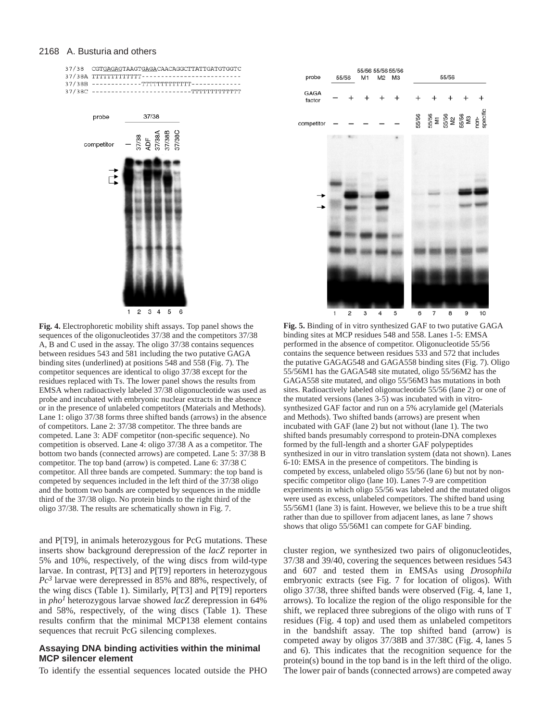

**Fig. 4.** Electrophoretic mobility shift assays. Top panel shows the sequences of the oligonucleotides 37/38 and the competitors 37/38 A, B and C used in the assay. The oligo 37/38 contains sequences between residues 543 and 581 including the two putative GAGA binding sites (underlined) at positions 548 and 558 (Fig. 7). The competitor sequences are identical to oligo 37/38 except for the residues replaced with Ts. The lower panel shows the results from EMSA when radioactively labeled 37/38 oligonucleotide was used as probe and incubated with embryonic nuclear extracts in the absence or in the presence of unlabeled competitors (Materials and Methods). Lane 1: oligo 37/38 forms three shifted bands (arrows) in the absence of competitors. Lane 2: 37/38 competitor. The three bands are competed. Lane 3: ADF competitor (non-specific sequence). No competition is observed. Lane 4: oligo 37/38 A as a competitor. The bottom two bands (connected arrows) are competed. Lane 5: 37/38 B competitor. The top band (arrow) is competed. Lane 6: 37/38 C competitor. All three bands are competed. Summary: the top band is competed by sequences included in the left third of the 37/38 oligo and the bottom two bands are competed by sequences in the middle third of the 37/38 oligo. No protein binds to the right third of the oligo 37/38. The results are schematically shown in Fig. 7.

and P[T9], in animals heterozygous for PcG mutations. These inserts show background derepression of the *lacZ* reporter in 5% and 10%, respectively, of the wing discs from wild-type larvae. In contrast, P[T3] and P[T9] reporters in heterozygous *Pc3* larvae were derepressed in 85% and 88%, respectively, of the wing discs (Table 1). Similarly, P[T3] and P[T9] reporters in *pho1* heterozygous larvae showed *lacZ* derepression in 64% and 58%, respectively, of the wing discs (Table 1). These results confirm that the minimal MCP138 element contains sequences that recruit PcG silencing complexes.

### **Assaying DNA binding activities within the minimal MCP silencer element**

To identify the essential sequences located outside the PHO



**Fig. 5.** Binding of in vitro synthesized GAF to two putative GAGA binding sites at MCP residues 548 and 558. Lanes 1-5: EMSA performed in the absence of competitor. Oligonucleotide 55/56 contains the sequence between residues 533 and 572 that includes the putative GAGAG548 and GAGA558 binding sites (Fig. 7). Oligo 55/56M1 has the GAGA548 site mutated, oligo 55/56M2 has the GAGA558 site mutated, and oligo 55/56M3 has mutations in both sites. Radioactively labeled oligonucleotide 55/56 (lane 2) or one of the mutated versions (lanes 3-5) was incubated with in vitrosynthesized GAF factor and run on a 5% acrylamide gel (Materials and Methods). Two shifted bands (arrows) are present when incubated with GAF (lane 2) but not without (lane 1). The two shifted bands presumably correspond to protein-DNA complexes formed by the full-length and a shorter GAF polypeptides synthesized in our in vitro translation system (data not shown). Lanes 6-10: EMSA in the presence of competitors. The binding is competed by excess, unlabeled oligo 55/56 (lane 6) but not by nonspecific competitor oligo (lane 10). Lanes 7-9 are competition experiments in which oligo 55/56 was labeled and the mutated oligos were used as excess, unlabeled competitors. The shifted band using 55/56M1 (lane 3) is faint. However, we believe this to be a true shift rather than due to spillover from adjacent lanes, as lane 7 shows shows that oligo 55/56M1 can compete for GAF binding.

cluster region, we synthesized two pairs of oligonucleotides, 37/38 and 39/40, covering the sequences between residues 543 and 607 and tested them in EMSAs using *Drosophila* embryonic extracts (see Fig. 7 for location of oligos). With oligo 37/38, three shifted bands were observed (Fig. 4, lane 1, arrows). To localize the region of the oligo responsible for the shift, we replaced three subregions of the oligo with runs of T residues (Fig. 4 top) and used them as unlabeled competitors in the bandshift assay. The top shifted band (arrow) is competed away by oligos 37/38B and 37/38C (Fig. 4, lanes 5 and 6). This indicates that the recognition sequence for the protein(s) bound in the top band is in the left third of the oligo. The lower pair of bands (connected arrows) are competed away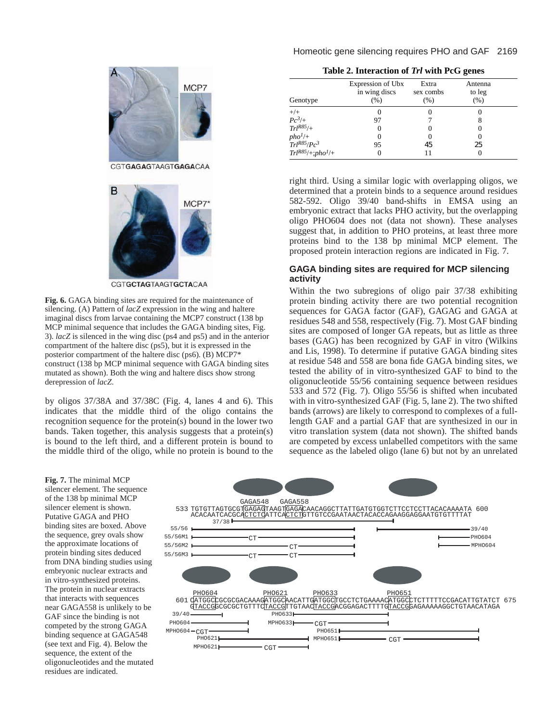## Homeotic gene silencing requires PHO and GAF 2169



CGTGCTAGTAAGTGCTACAA

**Fig. 6.** GAGA binding sites are required for the maintenance of silencing. (A) Pattern of *lacZ* expression in the wing and haltere imaginal discs from larvae containing the MCP7 construct (138 bp MCP minimal sequence that includes the GAGA binding sites, Fig. 3). *lacZ* is silenced in the wing disc (ps4 and ps5) and in the anterior compartment of the haltere disc (ps5), but it is expressed in the posterior compartment of the haltere disc (ps6). (B) MCP7\* construct (138 bp MCP minimal sequence with GAGA binding sites mutated as shown). Both the wing and haltere discs show strong derepression of *lacZ*.

by oligos 37/38A and 37/38C (Fig. 4, lanes 4 and 6). This indicates that the middle third of the oligo contains the recognition sequence for the protein(s) bound in the lower two bands. Taken together, this analysis suggests that a protein(s) is bound to the left third, and a different protein is bound to the middle third of the oligo, while no protein is bound to the

| Table 2. Interaction of Trl with PcG genes |  |  |
|--------------------------------------------|--|--|
|--------------------------------------------|--|--|

| Genotype                                                   | Expression of Ubx<br>in wing discs<br>(%) | Extra<br>sex combs<br>(%) | Antenna<br>to leg<br>(% ) |
|------------------------------------------------------------|-------------------------------------------|---------------------------|---------------------------|
| $^{+/+}$                                                   |                                           |                           |                           |
| $Pc^3/+$                                                   | 97                                        |                           |                           |
| $Trl^{R85/}$                                               |                                           |                           |                           |
|                                                            |                                           |                           |                           |
| pho <sup>1</sup> /+<br>Trl <sup>R85</sup> /Pc <sup>3</sup> | 95                                        | 45                        | 25                        |
| $Trl^{R85}/+;pho1/+$                                       |                                           |                           |                           |

right third. Using a similar logic with overlapping oligos, we determined that a protein binds to a sequence around residues 582-592. Oligo 39/40 band-shifts in EMSA using an embryonic extract that lacks PHO activity, but the overlapping oligo PHO604 does not (data not shown). These analyses suggest that, in addition to PHO proteins, at least three more proteins bind to the 138 bp minimal MCP element. The proposed protein interaction regions are indicated in Fig. 7.

## **GAGA binding sites are required for MCP silencing activity**

Within the two subregions of oligo pair 37/38 exhibiting protein binding activity there are two potential recognition sequences for GAGA factor (GAF), GAGAG and GAGA at residues 548 and 558, respectively (Fig. 7). Most GAF binding sites are composed of longer GA repeats, but as little as three bases (GAG) has been recognized by GAF in vitro (Wilkins and Lis, 1998). To determine if putative GAGA binding sites at residue 548 and 558 are bona fide GAGA binding sites, we tested the ability of in vitro-synthesized GAF to bind to the oligonucleotide 55/56 containing sequence between residues 533 and 572 (Fig. 7). Oligo 55/56 is shifted when incubated with in vitro-synthesized GAF (Fig. 5, lane 2). The two shifted bands (arrows) are likely to correspond to complexes of a fulllength GAF and a partial GAF that are synthesized in our in vitro translation system (data not shown). The shifted bands are competed by excess unlabelled competitors with the same sequence as the labeled oligo (lane 6) but not by an unrelated

**Fig. 7.** The minimal MCP silencer element. The sequence of the 138 bp minimal MCP silencer element is shown. Putative GAGA and PHO binding sites are boxed. Above the sequence, grey ovals show the approximate locations of protein binding sites deduced from DNA binding studies using embryonic nuclear extracts and in vitro-synthesized proteins. The protein in nuclear extracts that interacts with sequences near GAGA558 is unlikely to be GAF since the binding is not competed by the strong GAGA binding sequence at GAGA548 (see text and Fig. 4). Below the sequence, the extent of the oligonucleotides and the mutated residues are indicated.

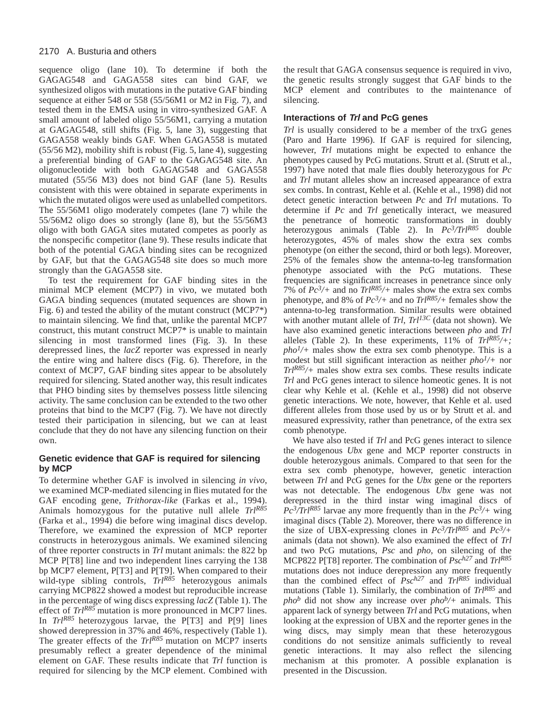sequence oligo (lane 10). To determine if both the GAGAG548 and GAGA558 sites can bind GAF, we synthesized oligos with mutations in the putative GAF binding sequence at either 548 or 558 (55/56M1 or M2 in Fig. 7), and tested them in the EMSA using in vitro-synthesized GAF. A small amount of labeled oligo 55/56M1, carrying a mutation at GAGAG548, still shifts (Fig. 5, lane 3), suggesting that GAGA558 weakly binds GAF. When GAGA558 is mutated (55/56 M2), mobility shift is robust (Fig. 5, lane 4), suggesting a preferential binding of GAF to the GAGAG548 site. An oligonucleotide with both GAGAG548 and GAGA558 mutated (55/56 M3) does not bind GAF (lane 5). Results consistent with this were obtained in separate experiments in which the mutated oligos were used as unlabelled competitors. The 55/56M1 oligo moderately competes (lane 7) while the 55/56M2 oligo does so strongly (lane 8), but the 55/56M3 oligo with both GAGA sites mutated competes as poorly as the nonspecific competitor (lane 9). These results indicate that both of the potential GAGA binding sites can be recognized by GAF, but that the GAGAG548 site does so much more strongly than the GAGA558 site.

To test the requirement for GAF binding sites in the minimal MCP element (MCP7) in vivo, we mutated both GAGA binding sequences (mutated sequences are shown in Fig. 6) and tested the ability of the mutant construct (MCP7\*) to maintain silencing. We find that, unlike the parental MCP7 construct, this mutant construct MCP7\* is unable to maintain silencing in most transformed lines (Fig. 3). In these derepressed lines, the *lacZ* reporter was expressed in nearly the entire wing and haltere discs (Fig. 6). Therefore, in the context of MCP7, GAF binding sites appear to be absolutely required for silencing. Stated another way, this result indicates that PHO binding sites by themselves possess little silencing activity. The same conclusion can be extended to the two other proteins that bind to the MCP7 (Fig. 7). We have not directly tested their participation in silencing, but we can at least conclude that they do not have any silencing function on their own.

# **Genetic evidence that GAF is required for silencing by MCP**

To determine whether GAF is involved in silencing *in vivo*, we examined MCP-mediated silencing in flies mutated for the GAF encoding gene, *Trithorax-like* (Farkas et al., 1994). Animals homozygous for the putative null allele *TrlR85* (Farka et al., 1994) die before wing imaginal discs develop. Therefore, we examined the expression of MCP reporter constructs in heterozygous animals. We examined silencing of three reporter constructs in *Trl* mutant animals: the 822 bp MCP P[T8] line and two independent lines carrying the 138 bp MCP7 element, P[T3] and P[T9]. When compared to their wild-type sibling controls, *TrlR85* heterozygous animals carrying MCP822 showed a modest but reproducible increase in the percentage of wing discs expressing *lacZ* (Table 1). The effect of *TrlR85* mutation is more pronounced in MCP7 lines. In *TrlR85* heterozygous larvae, the P[T3] and P[9] lines showed derepression in 37% and 46%, respectively (Table 1). The greater effects of the *TrlR85* mutation on MCP7 inserts presumably reflect a greater dependence of the minimal element on GAF. These results indicate that *Trl* function is required for silencing by the MCP element. Combined with the result that GAGA consensus sequence is required in vivo, the genetic results strongly suggest that GAF binds to the MCP element and contributes to the maintenance of silencing.

## **Interactions of Trl and PcG genes**

*Trl* is usually considered to be a member of the trxG genes (Paro and Harte 1996). If GAF is required for silencing, however, *Trl* mutations might be expected to enhance the phenotypes caused by PcG mutations. Strutt et al. (Strutt et al., 1997) have noted that male flies doubly heterozygous for *Pc* and *Trl* mutant alleles show an increased appearance of extra sex combs. In contrast, Kehle et al. (Kehle et al., 1998) did not detect genetic interaction between *Pc* and *Trl* mutations. To determine if *Pc* and *Trl* genetically interact, we measured the penetrance of homeotic transformations in doubly heterozygous animals (Table 2). In *Pc3/TrlR85* double heterozygotes, 45% of males show the extra sex combs phenotype (on either the second, third or both legs). Moreover, 25% of the females show the antenna-to-leg transformation phenotype associated with the PcG mutations. These frequencies are significant increases in penetrance since only 7% of *Pc3/+* and no *TrlR85/+* males show the extra sex combs phenotype, and 8% of *Pc3/+* and no *TrlR85/+* females show the antenna-to-leg transformation. Similar results were obtained with another mutant allele of *Trl*, *Trl*<sup>13C</sup> (data not shown). We have also examined genetic interactions between *pho* and *Trl* alleles (Table 2). In these experiments, 11% of *TrlR85/+;*  $pho<sup>1</sup>/+$  males show the extra sex comb phenotype. This is a modest but still significant interaction as neither *pho1/+* nor *TrlR85/+* males show extra sex combs. These results indicate *Trl* and PcG genes interact to silence homeotic genes. It is not clear why Kehle et al. (Kehle et al., 1998) did not observe genetic interactions. We note, however, that Kehle et al. used different alleles from those used by us or by Strutt et al. and measured expressivity, rather than penetrance, of the extra sex comb phenotype.

We have also tested if *Trl* and PcG genes interact to silence the endogenous *Ubx* gene and MCP reporter constructs in double heterozygous animals. Compared to that seen for the extra sex comb phenotype, however, genetic interaction between *Trl* and PcG genes for the *Ubx* gene or the reporters was not detectable. The endogenous *Ubx* gene was not derepressed in the third instar wing imaginal discs of  $Pc^3/Trl^{R85}$  larvae any more frequently than in the  $Pc^3/$ + wing imaginal discs (Table 2). Moreover, there was no difference in the size of UBX-expressing clones in *Pc3/TrlR85* and *Pc3/+* animals (data not shown). We also examined the effect of *Trl* and two PcG mutations, *Psc* and *pho*, on silencing of the MCP822 P[T8] reporter. The combination of *Psch27* and *TrlR85* mutations does not induce derepression any more frequently than the combined effect of *Psch27* and *TrlR85* individual mutations (Table 1). Similarly, the combination of *TrlR85* and *pho*<sup>*b*</sup> did not show any increase over *pho*<sup>*b*</sup>/+ animals. This apparent lack of synergy between *Trl* and PcG mutations, when looking at the expression of UBX and the reporter genes in the wing discs, may simply mean that these heterozygous conditions do not sensitize animals sufficiently to reveal genetic interactions. It may also reflect the silencing mechanism at this promoter. A possible explanation is presented in the Discussion.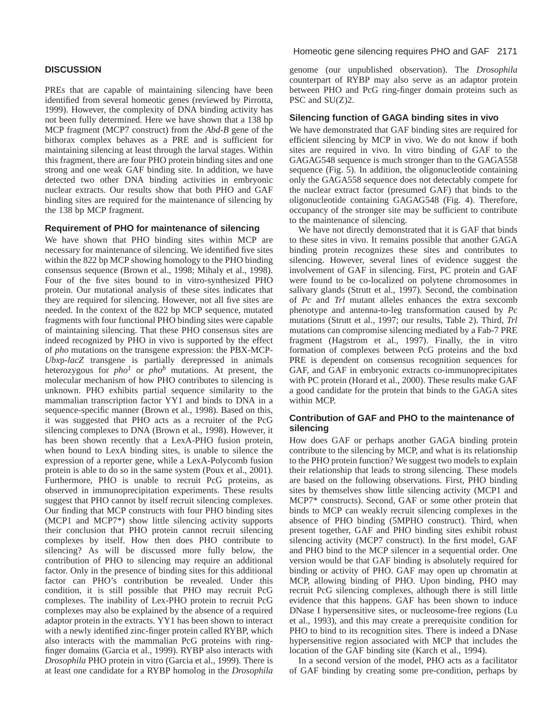# **DISCUSSION**

PREs that are capable of maintaining silencing have been identified from several homeotic genes (reviewed by Pirrotta, 1999). However, the complexity of DNA binding activity has not been fully determined. Here we have shown that a 138 bp MCP fragment (MCP7 construct) from the *Abd-B* gene of the bithorax complex behaves as a PRE and is sufficient for maintaining silencing at least through the larval stages. Within this fragment, there are four PHO protein binding sites and one strong and one weak GAF binding site. In addition, we have detected two other DNA binding activities in embryonic nuclear extracts. Our results show that both PHO and GAF binding sites are required for the maintenance of silencing by the 138 bp MCP fragment.

## **Requirement of PHO for maintenance of silencing**

We have shown that PHO binding sites within MCP are necessary for maintenance of silencing. We identified five sites within the 822 bp MCP showing homology to the PHO binding consensus sequence (Brown et al., 1998; Mihaly et al., 1998). Four of the five sites bound to in vitro-synthesized PHO protein. Our mutational analysis of these sites indicates that they are required for silencing. However, not all five sites are needed. In the context of the 822 bp MCP sequence, mutated fragments with four functional PHO binding sites were capable of maintaining silencing. That these PHO consensus sites are indeed recognized by PHO in vivo is supported by the effect of *pho* mutations on the transgene expression: the PBX-MCP-*Ubx*p-*lacZ* transgene is partially derepressed in animals heterozygous for *pho1* or *phob* mutations. At present, the molecular mechanism of how PHO contributes to silencing is unknown. PHO exhibits partial sequence similarity to the mammalian transcription factor YY1 and binds to DNA in a sequence-specific manner (Brown et al., 1998). Based on this, it was suggested that PHO acts as a recruiter of the PcG silencing complexes to DNA (Brown et al., 1998). However, it has been shown recently that a LexA-PHO fusion protein, when bound to LexA binding sites, is unable to silence the expression of a reporter gene, while a LexA-Polycomb fusion protein is able to do so in the same system (Poux et al., 2001). Furthermore, PHO is unable to recruit PcG proteins, as observed in immunoprecipitation experiments. These results suggest that PHO cannot by itself recruit silencing complexes. Our finding that MCP constructs with four PHO binding sites (MCP1 and MCP7\*) show little silencing activity supports their conclusion that PHO protein cannot recruit silencing complexes by itself. How then does PHO contribute to silencing? As will be discussed more fully below, the contribution of PHO to silencing may require an additional factor. Only in the presence of binding sites for this additional factor can PHO's contribution be revealed. Under this condition, it is still possible that PHO may recruit PcG complexes. The inability of Lex-PHO protein to recruit PcG complexes may also be explained by the absence of a required adaptor protein in the extracts. YY1 has been shown to interact with a newly identified zinc-finger protein called RYBP, which also interacts with the mammalian PcG proteins with ringfinger domains (Garcia et al., 1999). RYBP also interacts with *Drosophila* PHO protein in vitro (Garcia et al., 1999). There is at least one candidate for a RYBP homolog in the *Drosophila*

genome (our unpublished observation). The *Drosophila* counterpart of RYBP may also serve as an adaptor protein between PHO and PcG ring-finger domain proteins such as PSC and SU(Z)2.

### **Silencing function of GAGA binding sites in vivo**

We have demonstrated that GAF binding sites are required for efficient silencing by MCP in vivo. We do not know if both sites are required in vivo. In vitro binding of GAF to the GAGAG548 sequence is much stronger than to the GAGA558 sequence (Fig. 5). In addition, the oligonucleotide containing only the GAGA558 sequence does not detectably compete for the nuclear extract factor (presumed GAF) that binds to the oligonucleotide containing GAGAG548 (Fig. 4). Therefore, occupancy of the stronger site may be sufficient to contribute to the maintenance of silencing.

We have not directly demonstrated that it is GAF that binds to these sites in vivo. It remains possible that another GAGA binding protein recognizes these sites and contributes to silencing. However, several lines of evidence suggest the involvement of GAF in silencing. First, PC protein and GAF were found to be co-localized on polytene chromosomes in salivary glands (Strutt et al., 1997). Second, the combination of *Pc* and *Trl* mutant alleles enhances the extra sexcomb phenotype and antenna-to-leg transformation caused by *Pc* mutations (Strutt et al., 1997; our results, Table 2). Third, *Trl* mutations can compromise silencing mediated by a Fab-7 PRE fragment (Hagstrom et al., 1997). Finally, the in vitro formation of complexes between PcG proteins and the bxd PRE is dependent on consensus recognition sequences for GAF, and GAF in embryonic extracts co-immunoprecipitates with PC protein (Horard et al., 2000). These results make GAF a good candidate for the protein that binds to the GAGA sites within MCP.

## **Contribution of GAF and PHO to the maintenance of silencing**

How does GAF or perhaps another GAGA binding protein contribute to the silencing by MCP, and what is its relationship to the PHO protein function? We suggest two models to explain their relationship that leads to strong silencing. These models are based on the following observations. First, PHO binding sites by themselves show little silencing activity (MCP1 and MCP7\* constructs). Second, GAF or some other protein that binds to MCP can weakly recruit silencing complexes in the absence of PHO binding (5MPHO construct). Third, when present together, GAF and PHO binding sites exhibit robust silencing activity (MCP7 construct). In the first model, GAF and PHO bind to the MCP silencer in a sequential order. One version would be that GAF binding is absolutely required for binding or activity of PHO. GAF may open up chromatin at MCP, allowing binding of PHO. Upon binding, PHO may recruit PcG silencing complexes, although there is still little evidence that this happens. GAF has been shown to induce DNase I hypersensitive sites, or nucleosome-free regions (Lu et al., 1993), and this may create a prerequisite condition for PHO to bind to its recognition sites. There is indeed a DNase hypersensitive region associated with MCP that includes the location of the GAF binding site (Karch et al., 1994).

In a second version of the model, PHO acts as a facilitator of GAF binding by creating some pre-condition, perhaps by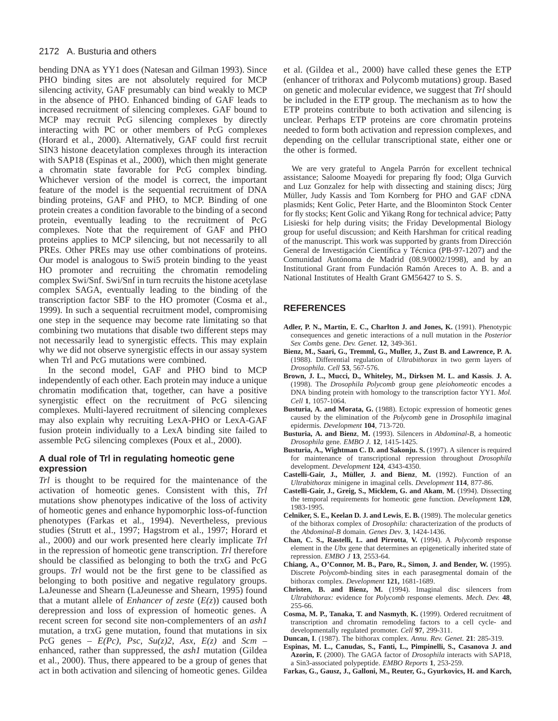bending DNA as YY1 does (Natesan and Gilman 1993). Since PHO binding sites are not absolutely required for MCP silencing activity, GAF presumably can bind weakly to MCP in the absence of PHO. Enhanced binding of GAF leads to increased recruitment of silencing complexes. GAF bound to MCP may recruit PcG silencing complexes by directly interacting with PC or other members of PcG complexes (Horard et al., 2000). Alternatively, GAF could first recruit SIN3 histone deacetylation complexes through its interaction with SAP18 (Espinas et al., 2000), which then might generate a chromatin state favorable for PcG complex binding. Whichever version of the model is correct, the important feature of the model is the sequential recruitment of DNA binding proteins, GAF and PHO, to MCP. Binding of one protein creates a condition favorable to the binding of a second protein, eventually leading to the recruitment of PcG complexes. Note that the requirement of GAF and PHO proteins applies to MCP silencing, but not necessarily to all PREs. Other PREs may use other combinations of proteins. Our model is analogous to Swi5 protein binding to the yeast HO promoter and recruiting the chromatin remodeling complex Swi/Snf. Swi/Snf in turn recruits the histone acetylase complex SAGA, eventually leading to the binding of the transcription factor SBF to the HO promoter (Cosma et al., 1999). In such a sequential recruitment model, compromising one step in the sequence may become rate limitating so that combining two mutations that disable two different steps may not necessarily lead to synergistic effects. This may explain why we did not observe synergistic effects in our assay system when Trl and PcG mutations were combined.

In the second model, GAF and PHO bind to MCP independently of each other. Each protein may induce a unique chromatin modification that, together, can have a positive synergistic effect on the recruitment of PcG silencing complexes. Multi-layered recruitment of silencing complexes may also explain why recruiting LexA-PHO or LexA-GAF fusion protein individually to a LexA binding site failed to assemble PcG silencing complexes (Poux et al., 2000).

## **A dual role of Trl in regulating homeotic gene expression**

*Trl* is thought to be required for the maintenance of the activation of homeotic genes. Consistent with this, *Trl* mutations show phenotypes indicative of the loss of activity of homeotic genes and enhance hypomorphic loss-of-function phenotypes (Farkas et al., 1994). Nevertheless, previous studies (Strutt et al., 1997; Hagstrom et al., 1997; Horard et al., 2000) and our work presented here clearly implicate *Trl* in the repression of homeotic gene transcription. *Trl* therefore should be classified as belonging to both the trxG and PcG groups. *Trl* would not be the first gene to be classified as belonging to both positive and negative regulatory groups. LaJeunesse and Shearn (LaJeunesse and Shearn, 1995) found that a mutant allele of *Enhancer of zeste*  $(E(z))$  caused both derepression and loss of expression of homeotic genes. A recent screen for second site non-complementers of an *ash1* mutation, a trxG gene mutation, found that mutations in six PcG genes –  $E(Pc)$ , *Psc*,  $Su(z)2$ , *Asx*,  $E(z)$  and *Scm* – enhanced, rather than suppressed, the *ash1* mutation (Gildea et al., 2000). Thus, there appeared to be a group of genes that act in both activation and silencing of homeotic genes. Gildea et al. (Gildea et al., 2000) have called these genes the ETP (enhancer of trithorax and Polycomb mutations) group. Based on genetic and molecular evidence, we suggest that *Trl* should be included in the ETP group. The mechanism as to how the ETP proteins contribute to both activation and silencing is unclear. Perhaps ETP proteins are core chromatin proteins needed to form both activation and repression complexes, and depending on the cellular transcriptional state, either one or the other is formed.

We are very grateful to Angela Parrón for excellent technical assistance; Saloome Moayedi for preparing fly food; Olga Gurvich and Luz Gonzalez for help with dissecting and staining discs; Jürg Müller, Judy Kassis and Tom Kornberg for PHO and GAF cDNA plasmids; Kent Golic, Peter Harte, and the Bloominton Stock Center for fly stocks; Kent Golic and Yikang Rong for technical advice; Patty Lisieski for help during visits; the Friday Developmental Biology group for useful discussion; and Keith Harshman for critical reading of the manuscript. This work was supported by grants from Dirección General de Investigación Científica y Técnica (PB-97-1207) and the Comunidad Autónoma de Madrid (08.9/0002/1998), and by an Institutional Grant from Fundación Ramón Areces to A. B. and a National Institutes of Health Grant GM56427 to S. S.

## **REFERENCES**

- **Adler, P. N., Martin, E. C., Charlton J. and Jones, K.** (1991). Phenotypic consequences and genetic interactions of a null mutation in the *Posterior Sex Combs* gene. *Dev. Genet.* **12**, 349-361.
- **Bienz, M., Saari, G., Tremml, G., Muller, J., Zust B. and Lawrence, P. A.** (1988). Differential regulation of *Ultrabithorax* in two germ layers of *Drosophila*. *Cell* **53**, 567-576.
- **Brown, J. L., Mucci, D., Whiteley, M., Dirksen M. L. and Kassis**. **J. A.** (1998). The *Drosophila Polycomb* group gene *pleiohomeotic* encodes a DNA binding protein with homology to the transcription factor YY1. *Mol. Cell* **1**, 1057-1064.
- **Busturia, A. and Morata, G.** (1988). Ectopic expression of homeotic genes caused by the elimination of the *Polycomb* gene in *Drosophila* imaginal epidermis. *Development* **104**, 713-720.
- **Busturia, A. and Bienz**, **M.** (1993). Silencers in *Abdominal-B*, a homeotic *Drosophila* gene. *EMBO J.* **12**, 1415-1425.
- Busturia, A., Wightman C. D. and Sakonju. S. (1997). A silencer is required for maintenance of transcriptional repression throughout *Drosophila* development. *Development* **124**, 4343-4350.
- **Castelli-Gair, J., Müller, J. and Bienz**, **M.** (1992). Function of an *Ultrabithorax* minigene in imaginal cells. *Development* **114**, 877-86.
- **Castelli-Gair, J., Greig, S., Micklem, G. and Akam**, **M.** (1994). Dissecting the temporal requirements for homeotic gene function. *Developmen*t **120**, 1983-1995.
- **Celniker, S. E., Keelan D. J. and Lewis**, **E. B.** (1989). The molecular genetics of the bithorax complex of *Drosophila:* characterization of the products of the *Abdominal-B* domain. *Genes Dev*. **3**, 1424-1436.
- **Chan, C. S., Rastelli, L. and Pirrotta**, **V.** (1994). A *Polycomb* response element in the *Ubx* gene that determines an epigenetically inherited state of repression. *EMBO J* **13**, 2553-64.
- **Chiang, A., O'Connor, M. B., Paro, R., Simon, J. and Bender, W.** (1995). Discrete *Polycomb*-binding sites in each parasegmental domain of the bithorax complex. *Development* **121,** 1681-1689.
- **Christen, B. and Bienz, M.** (1994). Imaginal disc silencers from *Ultrabithorax:* evidence for *Polycomb* response elements. *Mech. Dev.* **48**, 255-66.
- **Cosma, M. P., Tanaka, T. and Nasmyth**, **K.** (1999). Ordered recruitment of transcription and chromatin remodeling factors to a cell cycle- and developmentally regulated promoter. *Cell* **97**, 299-311.
- **Duncan, I**. (1987). The bithorax complex. *Annu. Rev. Genet*. **21**: 285-319.
- **Espinas, M. L., Canudas, S., Fanti, L., Pimpinelli, S., Casanova J. and Azorin, F.** (2000). The GAGA factor of *Drosophila* interacts with SAP18, a Sin3-associated polypeptide. *EMBO Reports* **1**, 253-259.
- **Farkas, G., Gausz, J., Galloni, M., Reuter, G., Gyurkovics, H. and Karch,**